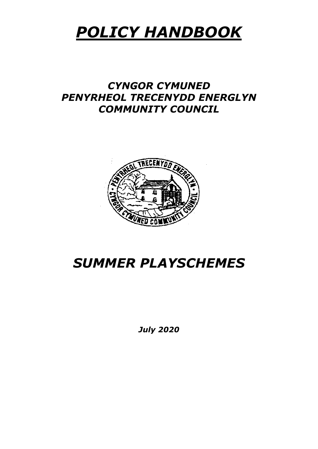# *POLICY HANDBOOK*

## *CYNGOR CYMUNED PENYRHEOL TRECENYDD ENERGLYN COMMUNITY COUNCIL*



## *SUMMER PLAYSCHEMES*

*July 2020*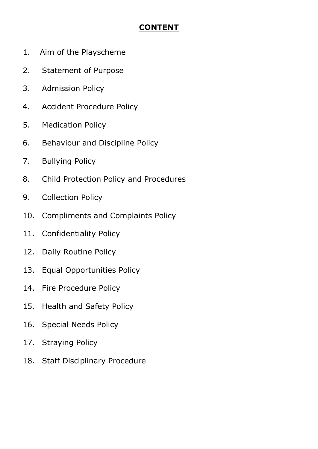## **CONTENT**

- 1. Aim of the Playscheme
- 2. Statement of Purpose
- 3. Admission Policy
- 4. Accident Procedure Policy
- 5. Medication Policy
- 6. Behaviour and Discipline Policy
- 7. Bullying Policy
- 8. Child Protection Policy and Procedures
- 9. Collection Policy
- 10. Compliments and Complaints Policy
- 11. Confidentiality Policy
- 12. Daily Routine Policy
- 13. Equal Opportunities Policy
- 14. Fire Procedure Policy
- 15. Health and Safety Policy
- 16. Special Needs Policy
- 17. Straying Policy
- 18. Staff Disciplinary Procedure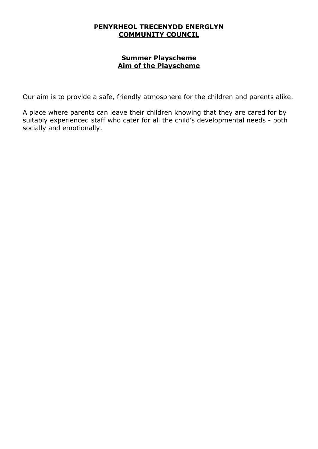#### **Summer Playscheme Aim of the Playscheme**

Our aim is to provide a safe, friendly atmosphere for the children and parents alike.

A place where parents can leave their children knowing that they are cared for by suitably experienced staff who cater for all the child's developmental needs - both socially and emotionally.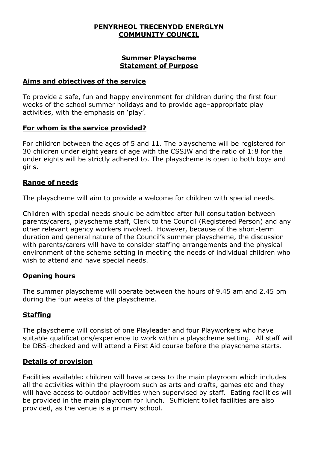#### **Summer Playscheme Statement of Purpose**

#### **Aims and objectives of the service**

To provide a safe, fun and happy environment for children during the first four weeks of the school summer holidays and to provide age–appropriate play activities, with the emphasis on 'play'.

#### **For whom is the service provided?**

For children between the ages of 5 and 11. The playscheme will be registered for 30 children under eight years of age with the CSSIW and the ratio of 1:8 for the under eights will be strictly adhered to. The playscheme is open to both boys and girls.

### **Range of needs**

The playscheme will aim to provide a welcome for children with special needs.

Children with special needs should be admitted after full consultation between parents/carers, playscheme staff, Clerk to the Council (Registered Person) and any other relevant agency workers involved. However, because of the short-term duration and general nature of the Council's summer playscheme, the discussion with parents/carers will have to consider staffing arrangements and the physical environment of the scheme setting in meeting the needs of individual children who wish to attend and have special needs.

#### **Opening hours**

The summer playscheme will operate between the hours of 9.45 am and 2.45 pm during the four weeks of the playscheme.

#### **Staffing**

The playscheme will consist of one Playleader and four Playworkers who have suitable qualifications/experience to work within a playscheme setting. All staff will be DBS-checked and will attend a First Aid course before the playscheme starts.

#### **Details of provision**

Facilities available: children will have access to the main playroom which includes all the activities within the playroom such as arts and crafts, games etc and they will have access to outdoor activities when supervised by staff. Eating facilities will be provided in the main playroom for lunch. Sufficient toilet facilities are also provided, as the venue is a primary school.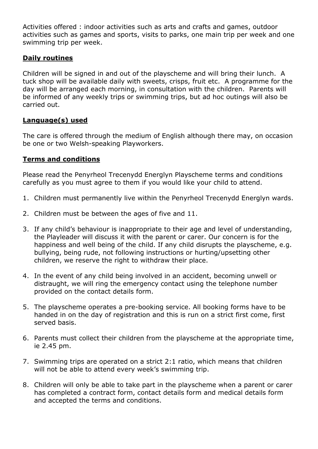Activities offered : indoor activities such as arts and crafts and games, outdoor activities such as games and sports, visits to parks, one main trip per week and one swimming trip per week.

#### **Daily routines**

Children will be signed in and out of the playscheme and will bring their lunch. A tuck shop will be available daily with sweets, crisps, fruit etc. A programme for the day will be arranged each morning, in consultation with the children. Parents will be informed of any weekly trips or swimming trips, but ad hoc outings will also be carried out.

### **Language(s) used**

The care is offered through the medium of English although there may, on occasion be one or two Welsh-speaking Playworkers.

### **Terms and conditions**

Please read the Penyrheol Trecenydd Energlyn Playscheme terms and conditions carefully as you must agree to them if you would like your child to attend.

- 1. Children must permanently live within the Penyrheol Trecenydd Energlyn wards.
- 2. Children must be between the ages of five and 11.
- 3. If any child's behaviour is inappropriate to their age and level of understanding, the Playleader will discuss it with the parent or carer. Our concern is for the happiness and well being of the child. If any child disrupts the playscheme, e.g. bullying, being rude, not following instructions or hurting/upsetting other children, we reserve the right to withdraw their place.
- 4. In the event of any child being involved in an accident, becoming unwell or distraught, we will ring the emergency contact using the telephone number provided on the contact details form.
- 5. The playscheme operates a pre-booking service. All booking forms have to be handed in on the day of registration and this is run on a strict first come, first served basis.
- 6. Parents must collect their children from the playscheme at the appropriate time, ie 2.45 pm.
- 7. Swimming trips are operated on a strict 2:1 ratio, which means that children will not be able to attend every week's swimming trip.
- 8. Children will only be able to take part in the playscheme when a parent or carer has completed a contract form, contact details form and medical details form and accepted the terms and conditions.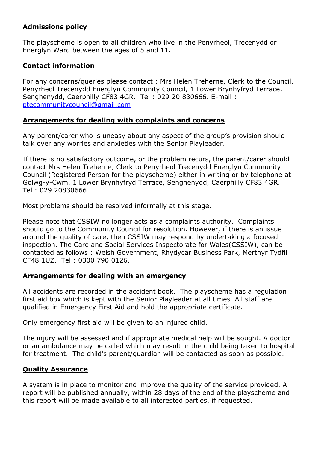## **Admissions policy**

The playscheme is open to all children who live in the Penyrheol, Trecenydd or Energlyn Ward between the ages of 5 and 11.

## **Contact information**

For any concerns/queries please contact : Mrs Helen Treherne, Clerk to the Council, Penyrheol Trecenydd Energlyn Community Council, 1 Lower Brynhyfryd Terrace, Senghenydd, Caerphilly CF83 4GR. Tel : 029 20 830666. E-mail : [ptecommunitycouncil@gmail.com](mailto:ptecommunitycouncil@gmail.com)

## **Arrangements for dealing with complaints and concerns**

Any parent/carer who is uneasy about any aspect of the group's provision should talk over any worries and anxieties with the Senior Playleader.

If there is no satisfactory outcome, or the problem recurs, the parent/carer should contact Mrs Helen Treherne, Clerk to Penyrheol Trecenydd Energlyn Community Council (Registered Person for the playscheme) either in writing or by telephone at Golwg-y-Cwm, 1 Lower Brynhyfryd Terrace, Senghenydd, Caerphilly CF83 4GR. Tel : 029 20830666.

Most problems should be resolved informally at this stage.

Please note that CSSIW no longer acts as a complaints authority. Complaints should go to the Community Council for resolution. However, if there is an issue around the quality of care, then CSSIW may respond by undertaking a focused inspection. The Care and Social Services Inspectorate for Wales(CSSIW), can be contacted as follows : Welsh Government, Rhydycar Business Park, Merthyr Tydfil CF48 1UZ. Tel : 0300 790 0126.

## **Arrangements for dealing with an emergency**

All accidents are recorded in the accident book. The playscheme has a regulation first aid box which is kept with the Senior Playleader at all times. All staff are qualified in Emergency First Aid and hold the appropriate certificate.

Only emergency first aid will be given to an injured child.

The injury will be assessed and if appropriate medical help will be sought. A doctor or an ambulance may be called which may result in the child being taken to hospital for treatment. The child's parent/guardian will be contacted as soon as possible.

## **Quality Assurance**

A system is in place to monitor and improve the quality of the service provided. A report will be published annually, within 28 days of the end of the playscheme and this report will be made available to all interested parties, if requested.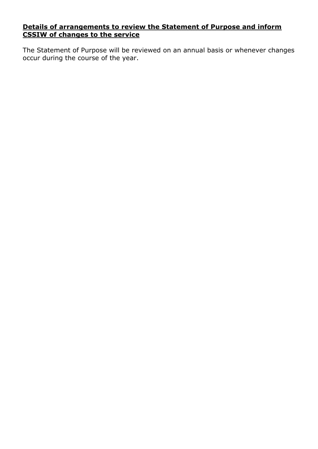#### **Details of arrangements to review the Statement of Purpose and inform CSSIW of changes to the service**

The Statement of Purpose will be reviewed on an annual basis or whenever changes occur during the course of the year.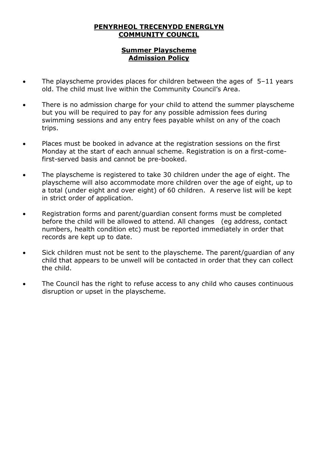## **Summer Playscheme Admission Policy**

- The playscheme provides places for children between the ages of  $5-11$  years old. The child must live within the Community Council's Area.
- There is no admission charge for your child to attend the summer playscheme but you will be required to pay for any possible admission fees during swimming sessions and any entry fees payable whilst on any of the coach trips.
- Places must be booked in advance at the registration sessions on the first Monday at the start of each annual scheme. Registration is on a first-comefirst-served basis and cannot be pre-booked.
- The playscheme is registered to take 30 children under the age of eight. The playscheme will also accommodate more children over the age of eight, up to a total (under eight and over eight) of 60 children. A reserve list will be kept in strict order of application.
- Registration forms and parent/guardian consent forms must be completed before the child will be allowed to attend. All changes (eg address, contact numbers, health condition etc) must be reported immediately in order that records are kept up to date.
- Sick children must not be sent to the playscheme. The parent/guardian of any child that appears to be unwell will be contacted in order that they can collect the child.
- The Council has the right to refuse access to any child who causes continuous disruption or upset in the playscheme.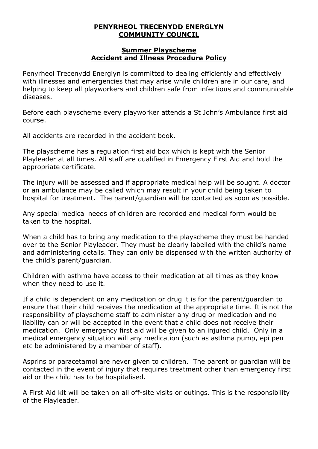#### **Summer Playscheme Accident and Illness Procedure Policy**

Penyrheol Trecenydd Energlyn is committed to dealing efficiently and effectively with illnesses and emergencies that may arise while children are in our care, and helping to keep all playworkers and children safe from infectious and communicable diseases.

Before each playscheme every playworker attends a St John's Ambulance first aid course.

All accidents are recorded in the accident book.

The playscheme has a regulation first aid box which is kept with the Senior Playleader at all times. All staff are qualified in Emergency First Aid and hold the appropriate certificate.

The injury will be assessed and if appropriate medical help will be sought. A doctor or an ambulance may be called which may result in your child being taken to hospital for treatment. The parent/guardian will be contacted as soon as possible.

Any special medical needs of children are recorded and medical form would be taken to the hospital.

When a child has to bring any medication to the playscheme they must be handed over to the Senior Playleader. They must be clearly labelled with the child's name and administering details. They can only be dispensed with the written authority of the child's parent/guardian.

Children with asthma have access to their medication at all times as they know when they need to use it.

If a child is dependent on any medication or drug it is for the parent/guardian to ensure that their child receives the medication at the appropriate time. It is not the responsibility of playscheme staff to administer any drug or medication and no liability can or will be accepted in the event that a child does not receive their medication. Only emergency first aid will be given to an injured child. Only in a medical emergency situation will any medication (such as asthma pump, epi pen etc be administered by a member of staff).

Asprins or paracetamol are never given to children. The parent or guardian will be contacted in the event of injury that requires treatment other than emergency first aid or the child has to be hospitalised.

A First Aid kit will be taken on all off-site visits or outings. This is the responsibility of the Playleader.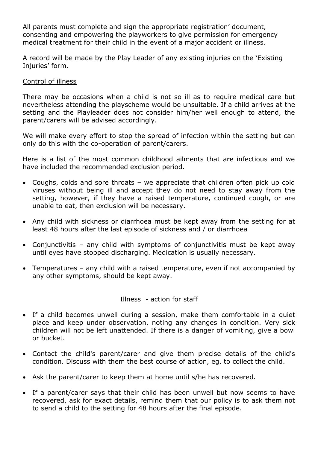All parents must complete and sign the appropriate registration' document, consenting and empowering the playworkers to give permission for emergency medical treatment for their child in the event of a major accident or illness.

A record will be made by the Play Leader of any existing injuries on the 'Existing Injuries' form.

#### Control of illness

There may be occasions when a child is not so ill as to require medical care but nevertheless attending the playscheme would be unsuitable. If a child arrives at the setting and the Playleader does not consider him/her well enough to attend, the parent/carers will be advised accordingly.

We will make every effort to stop the spread of infection within the setting but can only do this with the co-operation of parent/carers.

Here is a list of the most common childhood ailments that are infectious and we have included the recommended exclusion period.

- Coughs, colds and sore throats we appreciate that children often pick up cold viruses without being ill and accept they do not need to stay away from the setting, however, if they have a raised temperature, continued cough, or are unable to eat, then exclusion will be necessary.
- Any child with sickness or diarrhoea must be kept away from the setting for at least 48 hours after the last episode of sickness and / or diarrhoea
- Conjunctivitis any child with symptoms of conjunctivitis must be kept away until eyes have stopped discharging. Medication is usually necessary.
- Temperatures any child with a raised temperature, even if not accompanied by any other symptoms, should be kept away.

#### Illness - action for staff

- If a child becomes unwell during a session, make them comfortable in a quiet place and keep under observation, noting any changes in condition. Very sick children will not be left unattended. If there is a danger of vomiting, give a bowl or bucket.
- Contact the child's parent/carer and give them precise details of the child's condition. Discuss with them the best course of action, eg. to collect the child.
- Ask the parent/carer to keep them at home until s/he has recovered.
- If a parent/carer says that their child has been unwell but now seems to have recovered, ask for exact details, remind them that our policy is to ask them not to send a child to the setting for 48 hours after the final episode.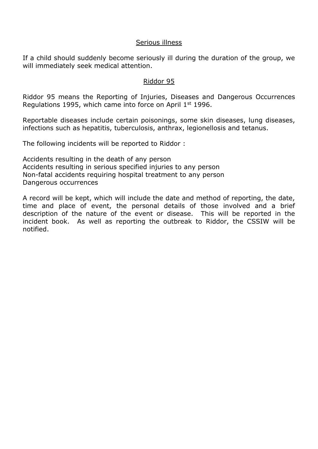#### Serious illness

If a child should suddenly become seriously ill during the duration of the group, we will immediately seek medical attention.

#### Riddor 95

Riddor 95 means the Reporting of Injuries, Diseases and Dangerous Occurrences Regulations 1995, which came into force on April 1st 1996.

Reportable diseases include certain poisonings, some skin diseases, lung diseases, infections such as hepatitis, tuberculosis, anthrax, legionellosis and tetanus.

The following incidents will be reported to Riddor :

Accidents resulting in the death of any person Accidents resulting in serious specified injuries to any person Non-fatal accidents requiring hospital treatment to any person Dangerous occurrences

A record will be kept, which will include the date and method of reporting, the date, time and place of event, the personal details of those involved and a brief description of the nature of the event or disease. This will be reported in the incident book. As well as reporting the outbreak to Riddor, the CSSIW will be notified.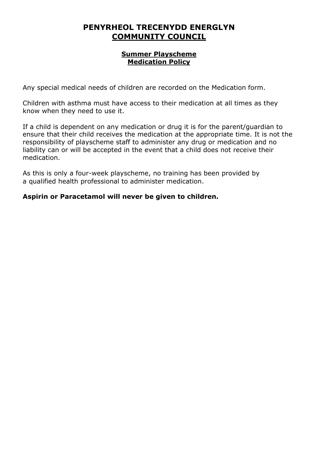#### **Summer Playscheme Medication Policy**

Any special medical needs of children are recorded on the Medication form.

Children with asthma must have access to their medication at all times as they know when they need to use it.

If a child is dependent on any medication or drug it is for the parent/guardian to ensure that their child receives the medication at the appropriate time. It is not the responsibility of playscheme staff to administer any drug or medication and no liability can or will be accepted in the event that a child does not receive their medication.

As this is only a four-week playscheme, no training has been provided by a qualified health professional to administer medication.

## **Aspirin or Paracetamol will never be given to children.**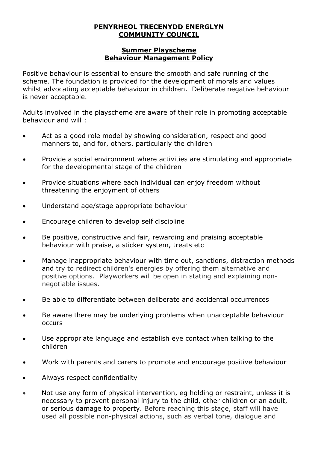#### **Summer Playscheme Behaviour Management Policy**

Positive behaviour is essential to ensure the smooth and safe running of the scheme. The foundation is provided for the development of morals and values whilst advocating acceptable behaviour in children. Deliberate negative behaviour is never acceptable.

Adults involved in the playscheme are aware of their role in promoting acceptable behaviour and will :

- Act as a good role model by showing consideration, respect and good manners to, and for, others, particularly the children
- Provide a social environment where activities are stimulating and appropriate for the developmental stage of the children
- Provide situations where each individual can enjoy freedom without threatening the enjoyment of others
- Understand age/stage appropriate behaviour
- Encourage children to develop self discipline
- Be positive, constructive and fair, rewarding and praising acceptable behaviour with praise, a sticker system, treats etc
- Manage inappropriate behaviour with time out, sanctions, distraction methods and try to redirect children's energies by offering them alternative and positive options. Playworkers will be open in stating and explaining nonnegotiable issues.
- Be able to differentiate between deliberate and accidental occurrences
- Be aware there may be underlying problems when unacceptable behaviour occurs
- Use appropriate language and establish eye contact when talking to the children
- Work with parents and carers to promote and encourage positive behaviour
- Always respect confidentiality
- Not use any form of physical intervention, eg holding or restraint, unless it is necessary to prevent personal injury to the child, other children or an adult, or serious damage to property. Before reaching this stage, staff will have used all possible non-physical actions, such as verbal tone, dialogue and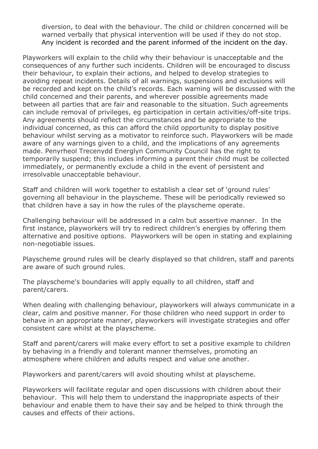diversion, to deal with the behaviour. The child or children concerned will be warned verbally that physical intervention will be used if they do not stop. Any incident is recorded and the parent informed of the incident on the day.

Playworkers will explain to the child why their behaviour is unacceptable and the consequences of any further such incidents. Children will be encouraged to discuss their behaviour, to explain their actions, and helped to develop strategies to avoiding repeat incidents. Details of all warnings, suspensions and exclusions will be recorded and kept on the child's records. Each warning will be discussed with the child concerned and their parents, and wherever possible agreements made between all parties that are fair and reasonable to the situation. Such agreements can include removal of privileges, eg participation in certain activities/off-site trips. Any agreements should reflect the circumstances and be appropriate to the individual concerned, as this can afford the child opportunity to display positive behaviour whilst serving as a motivator to reinforce such. Playworkers will be made aware of any warnings given to a child, and the implications of any agreements made. Penyrheol Trecenydd Energlyn Community Council has the right to temporarily suspend; this includes informing a parent their child must be collected immediately, or permanently exclude a child in the event of persistent and irresolvable unacceptable behaviour.

Staff and children will work together to establish a clear set of 'ground rules' governing all behaviour in the playscheme. These will be periodically reviewed so that children have a say in how the rules of the playscheme operate.

Challenging behaviour will be addressed in a calm but assertive manner. In the first instance, playworkers will try to redirect children's energies by offering them alternative and positive options. Playworkers will be open in stating and explaining non-negotiable issues.

Playscheme ground rules will be clearly displayed so that children, staff and parents are aware of such ground rules.

The playscheme's boundaries will apply equally to all children, staff and parent/carers.

When dealing with challenging behaviour, playworkers will always communicate in a clear, calm and positive manner. For those children who need support in order to behave in an appropriate manner, playworkers will investigate strategies and offer consistent care whilst at the playscheme.

Staff and parent/carers will make every effort to set a positive example to children by behaving in a friendly and tolerant manner themselves, promoting an atmosphere where children and adults respect and value one another.

Playworkers and parent/carers will avoid shouting whilst at playscheme.

Playworkers will facilitate regular and open discussions with children about their behaviour. This will help them to understand the inappropriate aspects of their behaviour and enable them to have their say and be helped to think through the causes and effects of their actions.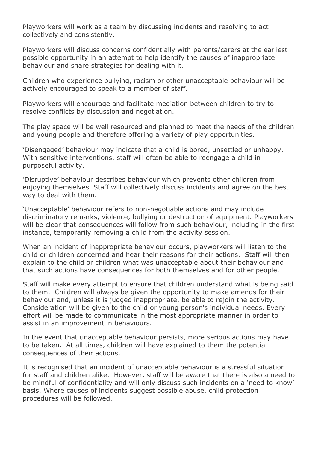Playworkers will work as a team by discussing incidents and resolving to act collectively and consistently.

Playworkers will discuss concerns confidentially with parents/carers at the earliest possible opportunity in an attempt to help identify the causes of inappropriate behaviour and share strategies for dealing with it.

Children who experience bullying, racism or other unacceptable behaviour will be actively encouraged to speak to a member of staff.

Playworkers will encourage and facilitate mediation between children to try to resolve conflicts by discussion and negotiation.

The play space will be well resourced and planned to meet the needs of the children and young people and therefore offering a variety of play opportunities.

'Disengaged' behaviour may indicate that a child is bored, unsettled or unhappy. With sensitive interventions, staff will often be able to reengage a child in purposeful activity.

'Disruptive' behaviour describes behaviour which prevents other children from enjoying themselves. Staff will collectively discuss incidents and agree on the best way to deal with them.

'Unacceptable' behaviour refers to non-negotiable actions and may include discriminatory remarks, violence, bullying or destruction of equipment. Playworkers will be clear that consequences will follow from such behaviour, including in the first instance, temporarily removing a child from the activity session.

When an incident of inappropriate behaviour occurs, playworkers will listen to the child or children concerned and hear their reasons for their actions. Staff will then explain to the child or children what was unacceptable about their behaviour and that such actions have consequences for both themselves and for other people.

Staff will make every attempt to ensure that children understand what is being said to them. Children will always be given the opportunity to make amends for their behaviour and, unless it is judged inappropriate, be able to rejoin the activity. Consideration will be given to the child or young person's individual needs. Every effort will be made to communicate in the most appropriate manner in order to assist in an improvement in behaviours.

In the event that unacceptable behaviour persists, more serious actions may have to be taken. At all times, children will have explained to them the potential consequences of their actions.

It is recognised that an incident of unacceptable behaviour is a stressful situation for staff and children alike. However, staff will be aware that there is also a need to be mindful of confidentiality and will only discuss such incidents on a 'need to know' basis. Where causes of incidents suggest possible abuse, child protection procedures will be followed.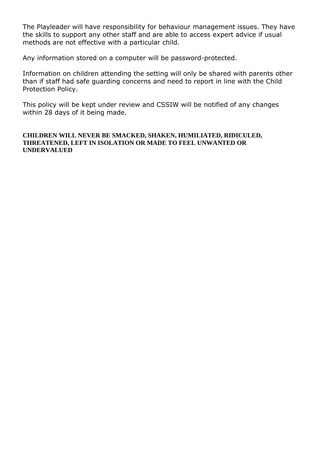The Playleader will have responsibility for behaviour management issues. They have the skills to support any other staff and are able to access expert advice if usual methods are not effective with a particular child*.*

Any information stored on a computer will be password-protected.

Information on children attending the setting will only be shared with parents other than if staff had safe guarding concerns and need to report in line with the Child Protection Policy.

This policy will be kept under review and CSSIW will be notified of any changes within 28 days of it being made.

#### **CHILDREN WILL NEVER BE SMACKED, SHAKEN, HUMILIATED, RIDICULED, THREATENED, LEFT IN ISOLATION OR MADE TO FEEL UNWANTED OR UNDERVALUED**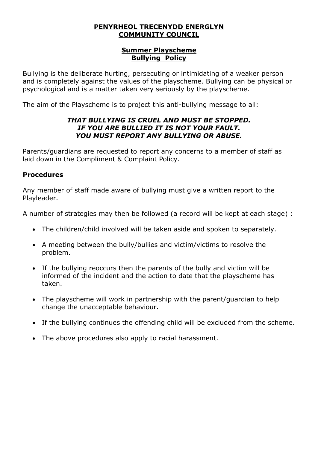#### **Summer Playscheme Bullying Policy**

Bullying is the deliberate hurting, persecuting or intimidating of a weaker person and is completely against the values of the playscheme. Bullying can be physical or psychological and is a matter taken very seriously by the playscheme.

The aim of the Playscheme is to project this anti-bullying message to all:

### *THAT BULLYING IS CRUEL AND MUST BE STOPPED. IF YOU ARE BULLIED IT IS NOT YOUR FAULT. YOU MUST REPORT ANY BULLYING OR ABUSE.*

Parents/guardians are requested to report any concerns to a member of staff as laid down in the Compliment & Complaint Policy.

### **Procedures**

Any member of staff made aware of bullying must give a written report to the Playleader.

A number of strategies may then be followed (a record will be kept at each stage) :

- The children/child involved will be taken aside and spoken to separately.
- A meeting between the bully/bullies and victim/victims to resolve the problem.
- If the bullying reoccurs then the parents of the bully and victim will be informed of the incident and the action to date that the playscheme has taken.
- The playscheme will work in partnership with the parent/guardian to help change the unacceptable behaviour.
- If the bullying continues the offending child will be excluded from the scheme.
- The above procedures also apply to racial harassment.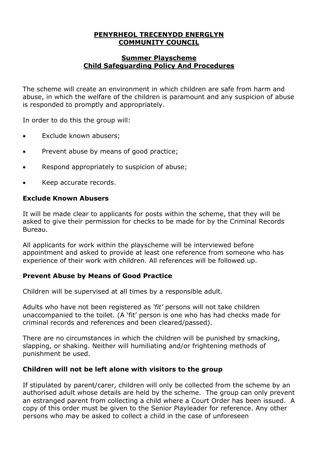#### **Summer Playscheme Child Safeguarding Policy And Procedures**

The scheme will create an environment in which children are safe from harm and abuse, in which the welfare of the children is paramount and any suspicion of abuse is responded to promptly and appropriately.

In order to do this the group will:

- Exclude known abusers;
- Prevent abuse by means of good practice;
- Respond appropriately to suspicion of abuse;
- Keep accurate records.

#### **Exclude Known Abusers**

It will be made clear to applicants for posts within the scheme, that they will be asked to give their permission for checks to be made for by the Criminal Records Bureau.

All applicants for work within the playscheme will be interviewed before appointment and asked to provide at least one reference from someone who has experience of their work with children. All references will be followed up.

## **Prevent Abuse by Means of Good Practice**

Children will be supervised at all times by a responsible adult.

Adults who have not been registered as *'fit'* persons will not take children unaccompanied to the toilet. (A 'fit' person is one who has had checks made for criminal records and references and been cleared/passed).

There are no circumstances in which the children will be punished by smacking, slapping, or shaking. Neither will humiliating and/or frightening methods of punishment be used.

## **Children will not be left alone with visitors to the group**

If stipulated by parent/carer, children will only be collected from the scheme by an authorised adult whose details are held by the scheme. The group can only prevent an estranged parent from collecting a child where a Court Order has been issued. A copy of this order must be given to the Senior Playleader for reference. Any other persons who may be asked to collect a child in the case of unforeseen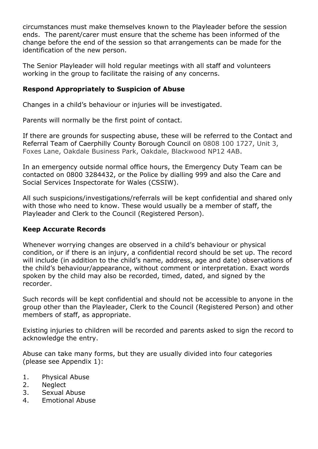circumstances must make themselves known to the Playleader before the session ends. The parent/carer must ensure that the scheme has been informed of the change before the end of the session so that arrangements can be made for the identification of the new person.

The Senior Playleader will hold regular meetings with all staff and volunteers working in the group to facilitate the raising of any concerns.

## **Respond Appropriately to Suspicion of Abuse**

Changes in a child's behaviour or injuries will be investigated.

Parents will normally be the first point of contact.

If there are grounds for suspecting abuse, these will be referred to the Contact and Referral Team of Caerphilly County Borough Council on 0808 100 1727, Unit 3, Foxes Lane, Oakdale Business Park, Oakdale, Blackwood NP12 4AB.

In an emergency outside normal office hours, the [Emergency Duty Team](http://www.caerphilly.gov.uk/site.aspx?s=kcMnpkpDDtMG8JxU6n/b+2HXaZIu1iHiqXBOjULFFQ0Xd4Q35tNRhQ==) can be contacted on 0800 3284432, or the Police by dialling 999 and also the Care and Social Services Inspectorate for Wales (CSSIW).

All such suspicions/investigations/referrals will be kept confidential and shared only with those who need to know. These would usually be a member of staff, the Playleader and Clerk to the Council (Registered Person).

## **Keep Accurate Records**

Whenever worrying changes are observed in a child's behaviour or physical condition, or if there is an injury, a confidential record should be set up. The record will include (in addition to the child's name, address, age and date) observations of the child's behaviour/appearance, without comment or interpretation. Exact words spoken by the child may also be recorded, timed, dated, and signed by the recorder.

Such records will be kept confidential and should not be accessible to anyone in the group other than the Playleader, Clerk to the Council (Registered Person) and other members of staff, as appropriate.

Existing injuries to children will be recorded and parents asked to sign the record to acknowledge the entry.

Abuse can take many forms, but they are usually divided into four categories (please see Appendix 1):

- 1. Physical Abuse
- 2. Neglect
- 3. Sexual Abuse
- 4. Emotional Abuse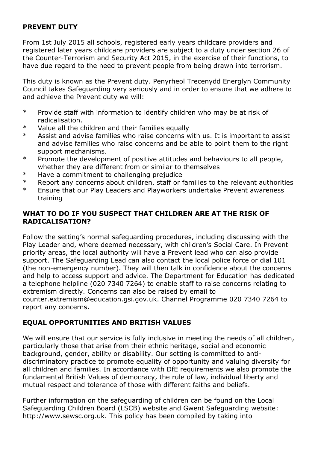## **PREVENT DUTY**

From 1st July 2015 all schools, registered early years childcare providers and registered later years childcare providers are subject to a duty under section 26 of the Counter-Terrorism and Security Act 2015, in the exercise of their functions, to have due regard to the need to prevent people from being drawn into terrorism.

This duty is known as the Prevent duty. Penyrheol Trecenydd Energlyn Community Council takes Safeguarding very seriously and in order to ensure that we adhere to and achieve the Prevent duty we will:

- \* Provide staff with information to identify children who may be at risk of radicalisation.
- \* Value all the children and their families equally
- \* Assist and advise families who raise concerns with us. It is important to assist and advise families who raise concerns and be able to point them to the right support mechanisms.
- \* Promote the development of positive attitudes and behaviours to all people, whether they are different from or similar to themselves
- \* Have a commitment to challenging prejudice
- \* Report any concerns about children, staff or families to the relevant authorities
- \* Ensure that our Play Leaders and Playworkers undertake Prevent awareness training

## **WHAT TO DO IF YOU SUSPECT THAT CHILDREN ARE AT THE RISK OF RADICALISATION?**

Follow the setting's normal safeguarding procedures, including discussing with the Play Leader and, where deemed necessary, with children's Social Care. In Prevent priority areas, the local authority will have a Prevent lead who can also provide support. The Safeguarding Lead can also contact the local police force or dial 101 (the non-emergency number). They will then talk in confidence about the concerns and help to access support and advice. The Department for Education has dedicated a telephone helpline (020 7340 7264) to enable staff to raise concerns relating to extremism directly. Concerns can also be raised by email to counter.extremism@education.gsi.gov.uk. Channel Programme 020 7340 7264 to report any concerns.

## **EQUAL OPPORTUNITIES AND BRITISH VALUES**

We will ensure that our service is fully inclusive in meeting the needs of all children, particularly those that arise from their ethnic heritage, social and economic background, gender, ability or disability. Our setting is committed to antidiscriminatory practice to promote equality of opportunity and valuing diversity for all children and families. In accordance with DfE requirements we also promote the fundamental British Values of democracy, the rule of law, individual liberty and mutual respect and tolerance of those with different faiths and beliefs.

Further information on the safeguarding of children can be found on the Local Safeguarding Children Board (LSCB) website and Gwent Safeguarding website: [http://www.sewsc.org.uk.](http://www.sewsc.org.uk/) This policy has been compiled by taking into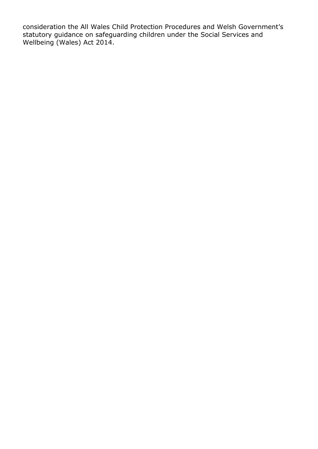consideration the All Wales Child Protection Procedures and Welsh Government's statutory guidance on safeguarding children under the Social Services and Wellbeing (Wales) Act 2014.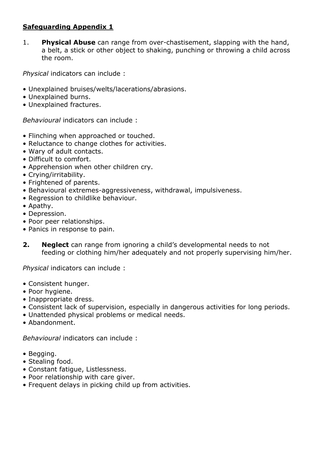## **Safeguarding Appendix 1**

1. **Physical Abuse** can range from over-chastisement, slapping with the hand, a belt, a stick or other object to shaking, punching or throwing a child across the room.

*Physical* indicators can include :

- Unexplained bruises/welts/lacerations/abrasions.
- Unexplained burns.
- Unexplained fractures.

*Behavioural* indicators can include :

- Flinching when approached or touched.
- Reluctance to change clothes for activities.
- Wary of adult contacts.
- Difficult to comfort.
- Apprehension when other children cry.
- Crying/irritability.
- Frightened of parents.
- Behavioural extremes-aggressiveness, withdrawal, impulsiveness.
- Regression to childlike behaviour.
- Apathy.
- Depression.
- Poor peer relationships.
- Panics in response to pain.
- **2. Neglect** can range from ignoring a child's developmental needs to not feeding or clothing him/her adequately and not properly supervising him/her.

*Physical* indicators can include :

- Consistent hunger.
- Poor hygiene.
- Inappropriate dress.
- Consistent lack of supervision, especially in dangerous activities for long periods.
- Unattended physical problems or medical needs.
- Abandonment.

*Behavioural* indicators can include :

- Begging.
- Stealing food.
- Constant fatigue, Listlessness.
- Poor relationship with care giver.
- Frequent delays in picking child up from activities.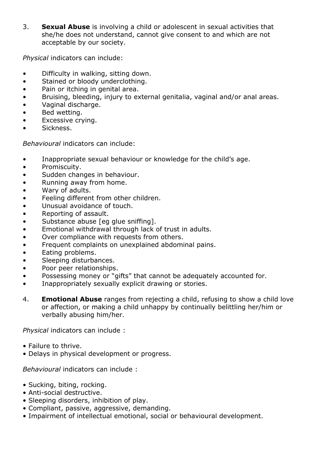3. **Sexual Abuse** is involving a child or adolescent in sexual activities that she/he does not understand, cannot give consent to and which are not acceptable by our society.

*Physical* indicators can include:

- Difficulty in walking, sitting down.
- Stained or bloody underclothing.
- Pain or itching in genital area.
- Bruising, bleeding, injury to external genitalia, vaginal and/or anal areas.
- Vaginal discharge.
- Bed wetting.
- Excessive crying.
- Sickness.

*Behavioural* indicators can include:

- Inappropriate sexual behaviour or knowledge for the child's age.
- Promiscuity.
- Sudden changes in behaviour.
- Running away from home.
- Wary of adults.
- Feeling different from other children.
- Unusual avoidance of touch.
- Reporting of assault.
- Substance abuse [eg glue sniffing].
- Emotional withdrawal through lack of trust in adults.
- Over compliance with requests from others.
- Frequent complaints on unexplained abdominal pains.
- Eating problems.
- Sleeping disturbances.
- Poor peer relationships.
- Possessing money or "gifts" that cannot be adequately accounted for.
- Inappropriately sexually explicit drawing or stories.
- 4. **Emotional Abuse** ranges from rejecting a child, refusing to show a child love or affection, or making a child unhappy by continually belittling her/him or verbally abusing him/her.

*Physical* indicators can include :

- Failure to thrive.
- Delays in physical development or progress.

*Behavioural* indicators can include :

- Sucking, biting, rocking.
- Anti-social destructive.
- Sleeping disorders, inhibition of play.
- Compliant, passive, aggressive, demanding.
- Impairment of intellectual emotional, social or behavioural development.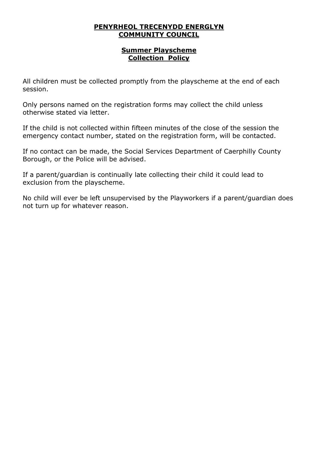#### **Summer Playscheme Collection Policy**

All children must be collected promptly from the playscheme at the end of each session.

Only persons named on the registration forms may collect the child unless otherwise stated via letter.

If the child is not collected within fifteen minutes of the close of the session the emergency contact number, stated on the registration form, will be contacted.

If no contact can be made, the Social Services Department of Caerphilly County Borough, or the Police will be advised.

If a parent/guardian is continually late collecting their child it could lead to exclusion from the playscheme.

No child will ever be left unsupervised by the Playworkers if a parent/guardian does not turn up for whatever reason.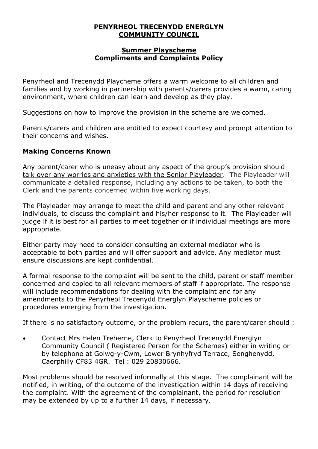#### **Summer Playscheme Compliments and Complaints Policy**

Penyrheol and Trecenydd Playcheme offers a warm welcome to all children and families and by working in partnership with parents/carers provides a warm, caring environment, where children can learn and develop as they play.

Suggestions on how to improve the provision in the scheme are welcomed.

Parents/carers and children are entitled to expect courtesy and prompt attention to their concerns and wishes.

## **Making Concerns Known**

Any parent/carer who is uneasy about any aspect of the group's provision should talk over any worries and anxieties with the Senior Playleader. The Playleader will communicate a detailed response, including any actions to be taken, to both the Clerk and the parents concerned within five working days.

The Playleader may arrange to meet the child and parent and any other relevant individuals, to discuss the complaint and his/her response to it. The Playleader will judge if it is best for all parties to meet together or if individual meetings are more appropriate.

Either party may need to consider consulting an external mediator who is acceptable to both parties and will offer support and advice. Any mediator must ensure discussions are kept confidential.

A formal response to the complaint will be sent to the child, parent or staff member concerned and copied to all relevant members of staff if appropriate. The response will include recommendations for dealing with the complaint and for any amendments to the Penyrheol Trecenydd Energlyn Playscheme policies or procedures emerging from the investigation.

If there is no satisfactory outcome, or the problem recurs, the parent/carer should :

• Contact Mrs Helen Treherne, Clerk to Penyrheol Trecenydd Energlyn Community Council ( Registered Person for the Schemes) either in writing or by telephone at Golwg-y-Cwm, Lower Brynhyfryd Terrace, Senghenydd, Caerphilly CF83 4GR. Tel : 029 20830666.

Most problems should be resolved informally at this stage. The complainant will be notified, in writing, of the outcome of the investigation within 14 days of receiving the complaint. With the agreement of the complainant, the period for resolution may be extended by up to a further 14 days, if necessary.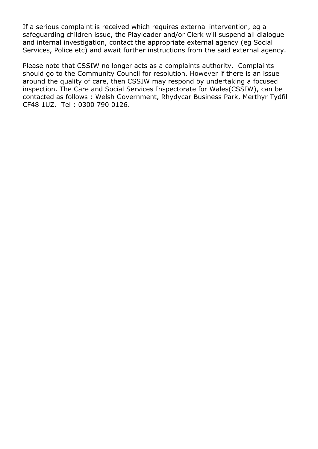If a serious complaint is received which requires external intervention, eg a safeguarding children issue, the Playleader and/or Clerk will suspend all dialogue and internal investigation, contact the appropriate external agency (eg Social Services, Police etc) and await further instructions from the said external agency.

Please note that CSSIW no longer acts as a complaints authority. Complaints should go to the Community Council for resolution. However if there is an issue around the quality of care, then CSSIW may respond by undertaking a focused inspection. The Care and Social Services Inspectorate for Wales(CSSIW), can be contacted as follows : Welsh Government, Rhydycar Business Park, Merthyr Tydfil CF48 1UZ. Tel : 0300 790 0126.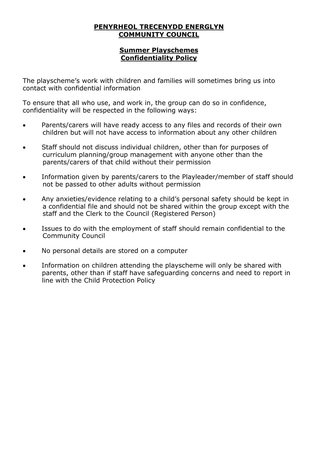#### **Summer Playschemes Confidentiality Policy**

The playscheme's work with children and families will sometimes bring us into contact with confidential information

To ensure that all who use, and work in, the group can do so in confidence, confidentiality will be respected in the following ways:

- Parents/carers will have ready access to any files and records of their own children but will not have access to information about any other children
- Staff should not discuss individual children, other than for purposes of curriculum planning/group management with anyone other than the parents/carers of that child without their permission
- Information given by parents/carers to the Playleader/member of staff should not be passed to other adults without permission
- Any anxieties/evidence relating to a child's personal safety should be kept in a confidential file and should not be shared within the group except with the staff and the Clerk to the Council (Registered Person)
- Issues to do with the employment of staff should remain confidential to the Community Council
- No personal details are stored on a computer
- Information on children attending the playscheme will only be shared with parents, other than if staff have safeguarding concerns and need to report in line with the Child Protection Policy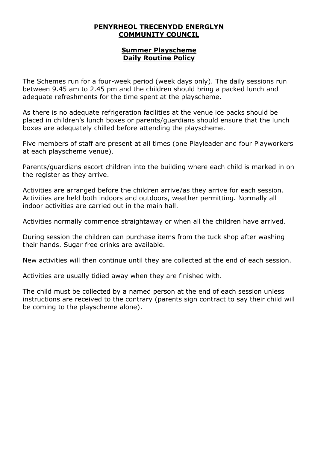#### **Summer Playscheme Daily Routine Policy**

The Schemes run for a four-week period (week days only). The daily sessions run between 9.45 am to 2.45 pm and the children should bring a packed lunch and adequate refreshments for the time spent at the playscheme.

As there is no adequate refrigeration facilities at the venue ice packs should be placed in children's lunch boxes or parents/guardians should ensure that the lunch boxes are adequately chilled before attending the playscheme.

Five members of staff are present at all times (one Playleader and four Playworkers at each playscheme venue).

Parents/guardians escort children into the building where each child is marked in on the register as they arrive.

Activities are arranged before the children arrive/as they arrive for each session. Activities are held both indoors and outdoors, weather permitting. Normally all indoor activities are carried out in the main hall.

Activities normally commence straightaway or when all the children have arrived.

During session the children can purchase items from the tuck shop after washing their hands. Sugar free drinks are available.

New activities will then continue until they are collected at the end of each session.

Activities are usually tidied away when they are finished with.

The child must be collected by a named person at the end of each session unless instructions are received to the contrary (parents sign contract to say their child will be coming to the playscheme alone).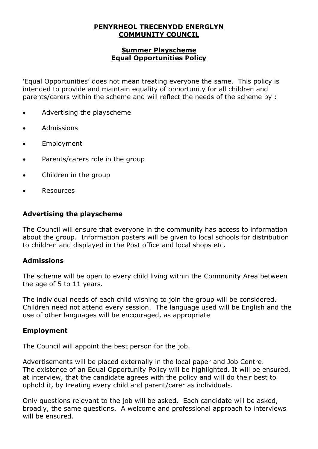#### **Summer Playscheme Equal Opportunities Policy**

'Equal Opportunities' does not mean treating everyone the same. This policy is intended to provide and maintain equality of opportunity for all children and parents/carers within the scheme and will reflect the needs of the scheme by :

- Advertising the playscheme
- Admissions
- Employment
- Parents/carers role in the group
- Children in the group
- **Resources**

#### **Advertising the playscheme**

The Council will ensure that everyone in the community has access to information about the group. Information posters will be given to local schools for distribution to children and displayed in the Post office and local shops etc.

#### **Admissions**

The scheme will be open to every child living within the Community Area between the age of 5 to 11 years.

The individual needs of each child wishing to join the group will be considered. Children need not attend every session. The language used will be English and the use of other languages will be encouraged, as appropriate

#### **Employment**

The Council will appoint the best person for the job.

Advertisements will be placed externally in the local paper and Job Centre. The existence of an Equal Opportunity Policy will be highlighted. It will be ensured, at interview, that the candidate agrees with the policy and will do their best to uphold it, by treating every child and parent/carer as individuals.

Only questions relevant to the job will be asked. Each candidate will be asked, broadly, the same questions. A welcome and professional approach to interviews will be ensured.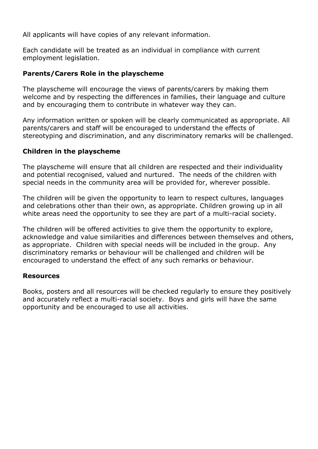All applicants will have copies of any relevant information.

Each candidate will be treated as an individual in compliance with current employment legislation.

## **Parents/Carers Role in the playscheme**

The playscheme will encourage the views of parents/carers by making them welcome and by respecting the differences in families, their language and culture and by encouraging them to contribute in whatever way they can.

Any information written or spoken will be clearly communicated as appropriate. All parents/carers and staff will be encouraged to understand the effects of stereotyping and discrimination, and any discriminatory remarks will be challenged.

## **Children in the playscheme**

The playscheme will ensure that all children are respected and their individuality and potential recognised, valued and nurtured. The needs of the children with special needs in the community area will be provided for, wherever possible.

The children will be given the opportunity to learn to respect cultures, languages and celebrations other than their own, as appropriate. Children growing up in all white areas need the opportunity to see they are part of a multi-racial society.

The children will be offered activities to give them the opportunity to explore, acknowledge and value similarities and differences between themselves and others, as appropriate. Children with special needs will be included in the group. Any discriminatory remarks or behaviour will be challenged and children will be encouraged to understand the effect of any such remarks or behaviour.

#### **Resources**

Books, posters and all resources will be checked regularly to ensure they positively and accurately reflect a multi-racial society. Boys and girls will have the same opportunity and be encouraged to use all activities.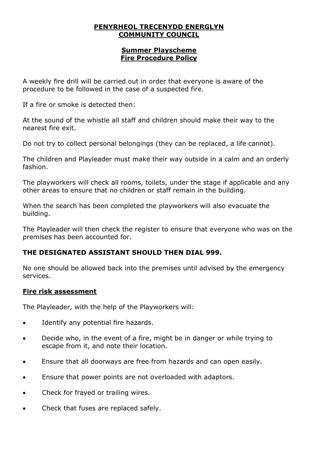#### **Summer Playscheme Fire Procedure Policy**

A weekly fire drill will be carried out in order that everyone is aware of the procedure to be followed in the case of a suspected fire.

If a fire or smoke is detected then:

At the sound of the whistle all staff and children should make their way to the nearest fire exit.

Do not try to collect personal belongings (they can be replaced, a life cannot).

The children and Playleader must make their way outside in a calm and an orderly fashion.

The playworkers will check all rooms, toilets, under the stage if applicable and any other areas to ensure that no children or staff remain in the building.

When the search has been completed the playworkers will also evacuate the building.

The Playleader will then check the register to ensure that everyone who was on the premises has been accounted for.

## **THE DESIGNATED ASSISTANT SHOULD THEN DIAL 999.**

No one should be allowed back into the premises until advised by the emergency services.

## **Fire risk assessment**

The Playleader, with the help of the Playworkers will:

- Identify any potential fire hazards.
- Decide who, in the event of a fire, might be in danger or while trying to escape from it, and note their location.
- Ensure that all doorways are free from hazards and can open easily.
- Ensure that power points are not overloaded with adaptors.
- Check for frayed or trailing wires.
- Check that fuses are replaced safely.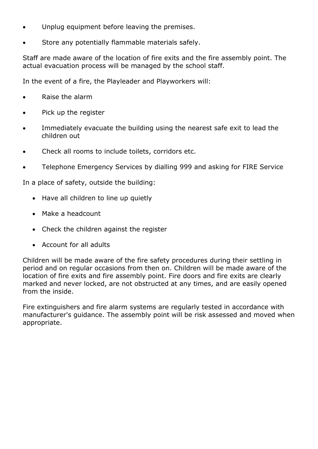- Unplug equipment before leaving the premises.
- Store any potentially flammable materials safely.

Staff are made aware of the location of fire exits and the fire assembly point. The actual evacuation process will be managed by the school staff.

In the event of a fire, the Playleader and Playworkers will:

- Raise the alarm
- Pick up the register
- Immediately evacuate the building using the nearest safe exit to lead the children out
- Check all rooms to include toilets, corridors etc.
- Telephone Emergency Services by dialling 999 and asking for FIRE Service

In a place of safety, outside the building:

- Have all children to line up quietly
- Make a headcount
- Check the children against the register
- Account for all adults

Children will be made aware of the fire safety procedures during their settling in period and on regular occasions from then on. Children will be made aware of the location of fire exits and fire assembly point. Fire doors and fire exits are clearly marked and never locked, are not obstructed at any times, and are easily opened from the inside.

Fire extinguishers and fire alarm systems are regularly tested in accordance with manufacturer's guidance. The assembly point will be risk assessed and moved when appropriate.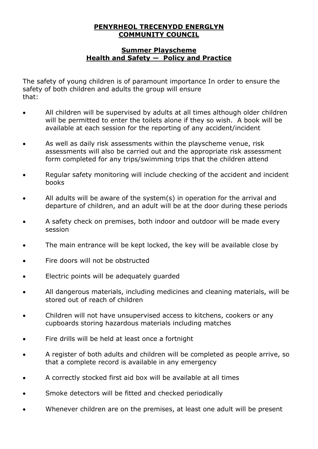#### **Summer Playscheme Health and Safety — Policy and Practice**

The safety of young children is of paramount importance In order to ensure the safety of both children and adults the group will ensure that:

- All children will be supervised by adults at all times although older children will be permitted to enter the toilets alone if they so wish. A book will be available at each session for the reporting of any accident/incident
- As well as daily risk assessments within the playscheme venue, risk assessments will also be carried out and the appropriate risk assessment form completed for any trips/swimming trips that the children attend
- Regular safety monitoring will include checking of the accident and incident books
- All adults will be aware of the system(s) in operation for the arrival and departure of children, and an adult will be at the door during these periods
- A safety check on premises, both indoor and outdoor will be made every session
- The main entrance will be kept locked, the key will be available close by
- Fire doors will not be obstructed
- Electric points will be adequately guarded
- All dangerous materials, including medicines and cleaning materials, will be stored out of reach of children
- Children will not have unsupervised access to kitchens, cookers or any cupboards storing hazardous materials including matches
- Fire drills will be held at least once a fortnight
- A register of both adults and children will be completed as people arrive, so that a complete record is available in any emergency
- A correctly stocked first aid box will be available at all times
- Smoke detectors will be fitted and checked periodically
- Whenever children are on the premises, at least one adult will be present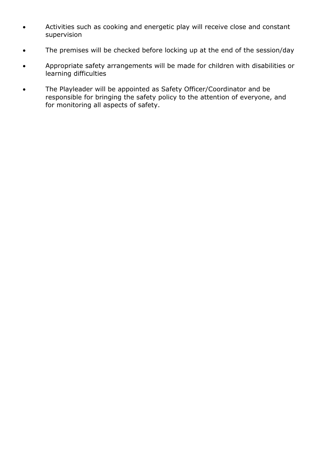- Activities such as cooking and energetic play will receive close and constant supervision
- The premises will be checked before locking up at the end of the session/day
- Appropriate safety arrangements will be made for children with disabilities or learning difficulties
- The Playleader will be appointed as Safety Officer/Coordinator and be responsible for bringing the safety policy to the attention of everyone, and for monitoring all aspects of safety.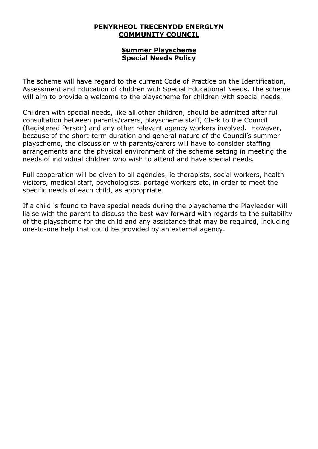#### **Summer Playscheme Special Needs Policy**

The scheme will have regard to the current Code of Practice on the Identification, Assessment and Education of children with Special Educational Needs. The scheme will aim to provide a welcome to the playscheme for children with special needs.

Children with special needs, like all other children, should be admitted after full consultation between parents/carers, playscheme staff, Clerk to the Council (Registered Person) and any other relevant agency workers involved. However, because of the short-term duration and general nature of the Council's summer playscheme, the discussion with parents/carers will have to consider staffing arrangements and the physical environment of the scheme setting in meeting the needs of individual children who wish to attend and have special needs.

Full cooperation will be given to all agencies, ie therapists, social workers, health visitors, medical staff, psychologists, portage workers etc, in order to meet the specific needs of each child, as appropriate.

If a child is found to have special needs during the playscheme the Playleader will liaise with the parent to discuss the best way forward with regards to the suitability of the playscheme for the child and any assistance that may be required, including one-to-one help that could be provided by an external agency.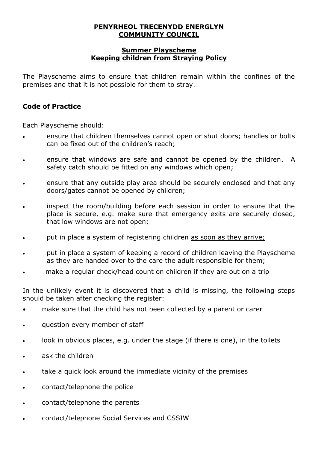#### **Summer Playscheme Keeping children from Straying Policy**

The Playscheme aims to ensure that children remain within the confines of the premises and that it is not possible for them to stray.

## **Code of Practice**

Each Playscheme should:

- ensure that children themselves cannot open or shut doors; handles or bolts can be fixed out of the children's reach;
- ensure that windows are safe and cannot be opened by the children. A safety catch should be fitted on any windows which open;
- ensure that any outside play area should be securely enclosed and that any doors/gates cannot be opened by children;
- inspect the room/building before each session in order to ensure that the place is secure, e.g. make sure that emergency exits are securely closed, that low windows are not open;
- put in place a system of registering children as soon as they arrive;
- put in place a system of keeping a record of children leaving the Playscheme as they are handed over to the care the adult responsible for them;
- make a regular check/head count on children if they are out on a trip

In the unlikely event it is discovered that a child is missing, the following steps should be taken after checking the register:

- make sure that the child has not been collected by a parent or carer
- question every member of staff
- look in obvious places, e.g. under the stage (if there is one), in the toilets
- ask the children
- take a quick look around the immediate vicinity of the premises
- contact/telephone the police
- contact/telephone the parents
- contact/telephone Social Services and CSSIW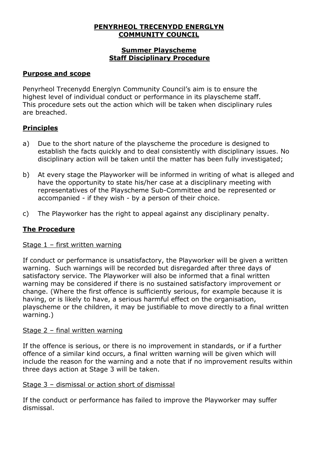#### **Summer Playscheme Staff Disciplinary Procedure**

## **Purpose and scope**

Penyrheol Trecenydd Energlyn Community Council's aim is to ensure the highest level of individual conduct or performance in its playscheme staff. This procedure sets out the action which will be taken when disciplinary rules are breached.

## **Principles**

- a) Due to the short nature of the playscheme the procedure is designed to establish the facts quickly and to deal consistently with disciplinary issues. No disciplinary action will be taken until the matter has been fully investigated;
- b) At every stage the Playworker will be informed in writing of what is alleged and have the opportunity to state his/her case at a disciplinary meeting with representatives of the Playscheme Sub-Committee and be represented or accompanied - if they wish - by a person of their choice.
- c) The Playworker has the right to appeal against any disciplinary penalty.

## **The Procedure**

#### Stage 1 – first written warning

If conduct or performance is unsatisfactory, the Playworker will be given a written warning. Such warnings will be recorded but disregarded after three days of satisfactory service. The Playworker will also be informed that a final written warning may be considered if there is no sustained satisfactory improvement or change. (Where the first offence is sufficiently serious, for example because it is having, or is likely to have, a serious harmful effect on the organisation, playscheme or the children, it may be justifiable to move directly to a final written warning.)

#### Stage 2 – final written warning

If the offence is serious, or there is no improvement in standards, or if a further offence of a similar kind occurs, a final written warning will be given which will include the reason for the warning and a note that if no improvement results within three days action at Stage 3 will be taken.

#### Stage 3 – dismissal or action short of dismissal

If the conduct or performance has failed to improve the Playworker may suffer dismissal.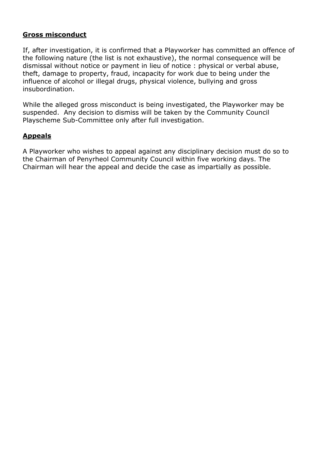## **Gross misconduct**

If, after investigation, it is confirmed that a Playworker has committed an offence of the following nature (the list is not exhaustive), the normal consequence will be dismissal without notice or payment in lieu of notice : physical or verbal abuse, theft, damage to property, fraud, incapacity for work due to being under the influence of alcohol or illegal drugs, physical violence, bullying and gross insubordination.

While the alleged gross misconduct is being investigated, the Playworker may be suspended. Any decision to dismiss will be taken by the Community Council Playscheme Sub-Committee only after full investigation.

## **Appeals**

A Playworker who wishes to appeal against any disciplinary decision must do so to the Chairman of Penyrheol Community Council within five working days. The Chairman will hear the appeal and decide the case as impartially as possible.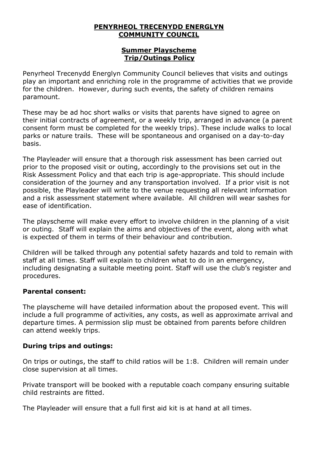#### **Summer Playscheme Trip/Outings Policy**

Penyrheol Trecenydd Energlyn Community Council believes that visits and outings play an important and enriching role in the programme of activities that we provide for the children. However, during such events, the safety of children remains paramount.

These may be ad hoc short walks or visits that parents have signed to agree on their initial contracts of agreement, or a weekly trip, arranged in advance (a parent consent form must be completed for the weekly trips). These include walks to local parks or nature trails. These will be spontaneous and organised on a day-to-day basis.

The Playleader will ensure that a thorough risk assessment has been carried out prior to the proposed visit or outing, accordingly to the provisions set out in the Risk Assessment Policy and that each trip is age-appropriate. This should include consideration of the journey and any transportation involved. If a prior visit is not possible, the Playleader will write to the venue requesting all relevant information and a risk assessment statement where available. All children will wear sashes for ease of identification.

The playscheme will make every effort to involve children in the planning of a visit or outing. Staff will explain the aims and objectives of the event, along with what is expected of them in terms of their behaviour and contribution.

Children will be talked through any potential safety hazards and told to remain with staff at all times. Staff will explain to children what to do in an emergency, including designating a suitable meeting point. Staff will use the club's register and procedures.

#### **Parental consent:**

The playscheme will have detailed information about the proposed event. This will include a full programme of activities, any costs, as well as approximate arrival and departure times. A permission slip must be obtained from parents before children can attend weekly trips.

## **During trips and outings:**

On trips or outings, the staff to child ratios will be 1:8. Children will remain under close supervision at all times.

Private transport will be booked with a reputable coach company ensuring suitable child restraints are fitted.

The Playleader will ensure that a full first aid kit is at hand at all times.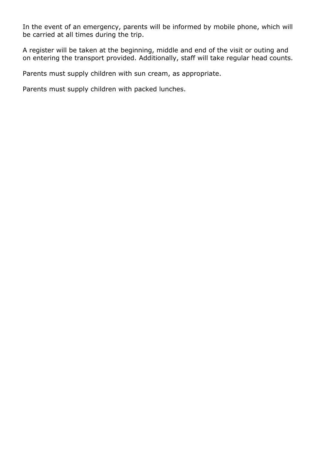In the event of an emergency, parents will be informed by mobile phone, which will be carried at all times during the trip.

A register will be taken at the beginning, middle and end of the visit or outing and on entering the transport provided. Additionally, staff will take regular head counts.

Parents must supply children with sun cream, as appropriate.

Parents must supply children with packed lunches.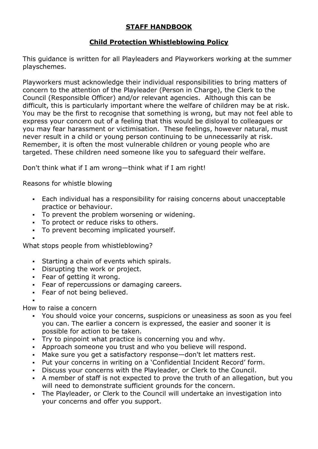## **STAFF HANDBOOK**

## **Child Protection Whistleblowing Policy**

This guidance is written for all Playleaders and Playworkers working at the summer playschemes.

Playworkers must acknowledge their individual responsibilities to bring matters of concern to the attention of the Playleader (Person in Charge), the Clerk to the Council (Responsible Officer) and/or relevant agencies. Although this can be difficult, this is particularly important where the welfare of children may be at risk. You may be the first to recognise that something is wrong, but may not feel able to express your concern out of a feeling that this would be disloyal to colleagues or you may fear harassment or victimisation. These feelings, however natural, must never result in a child or young person continuing to be unnecessarily at risk. Remember, it is often the most vulnerable children or young people who are targeted. These children need someone like you to safeguard their welfare.

Don't think what if I am wrong—think what if I am right!

Reasons for whistle blowing

- Each individual has a responsibility for raising concerns about unacceptable practice or behaviour.
- To prevent the problem worsening or widening.
- To protect or reduce risks to others.
- To prevent becoming implicated yourself.
- ▪

What stops people from whistleblowing?

- Starting a chain of events which spirals.
- Disrupting the work or project.
- Fear of getting it wrong.
- **Fear of repercussions or damaging careers.**
- Fear of not being believed.

▪

How to raise a concern

- You should voice your concerns, suspicions or uneasiness as soon as you feel you can. The earlier a concern is expressed, the easier and sooner it is possible for action to be taken.
- Try to pinpoint what practice is concerning you and why.
- Approach someone you trust and who you believe will respond.
- Make sure you get a satisfactory response—don't let matters rest.
- Put your concerns in writing on a 'Confidential Incident Record' form.
- Discuss your concerns with the Playleader, or Clerk to the Council.
- A member of staff is not expected to prove the truth of an allegation, but you will need to demonstrate sufficient grounds for the concern.
- The Playleader, or Clerk to the Council will undertake an investigation into your concerns and offer you support.